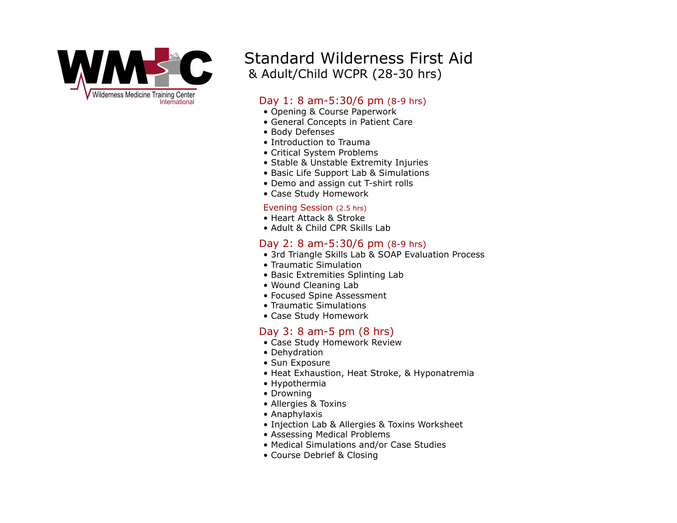

# Standard Wilderness First Aid & Adult/Child WCPR (28-30 hrs)

### Day 1: 8 am-5:30/6 pm (8-9 hrs)

- Opening & Course Paperwork
- General Concepts in Patient Care
- Body Defenses
- Introduction to Trauma
- Critical System Problems
- Stable & Unstable Extremity Injuries
- Basic Life Support Lab & Simulations
- Demo and assign cut T-shirt rolls
- Case Study Homework

#### Evening Session (2.5 hrs)

- Heart Attack & Stroke
- Adult & Child CPR Skills Lab

#### Day 2: 8 am-5:30/6 pm (8-9 hrs)

- 3rd Triangle Skills Lab & SOAP Evaluation Process
- Traumatic Simulation
- Basic Extremities Splinting Lab
- Wound Cleaning Lab
- Focused Spine Assessment
- Traumatic Simulations
- Case Study Homework

## Day 3: 8 am-5 pm (8 hrs)

- Case Study Homework Review
- Dehydration
- Sun Exposure
- Heat Exhaustion, Heat Stroke, & Hyponatremia
- Hypothermia
- Drowning
- Allergies & Toxins
- Anaphylaxis
- Injection Lab & Allergies & Toxins Worksheet
- Assessing Medical Problems
- Medical Simulations and/or Case Studies
- Course Debrief & Closing